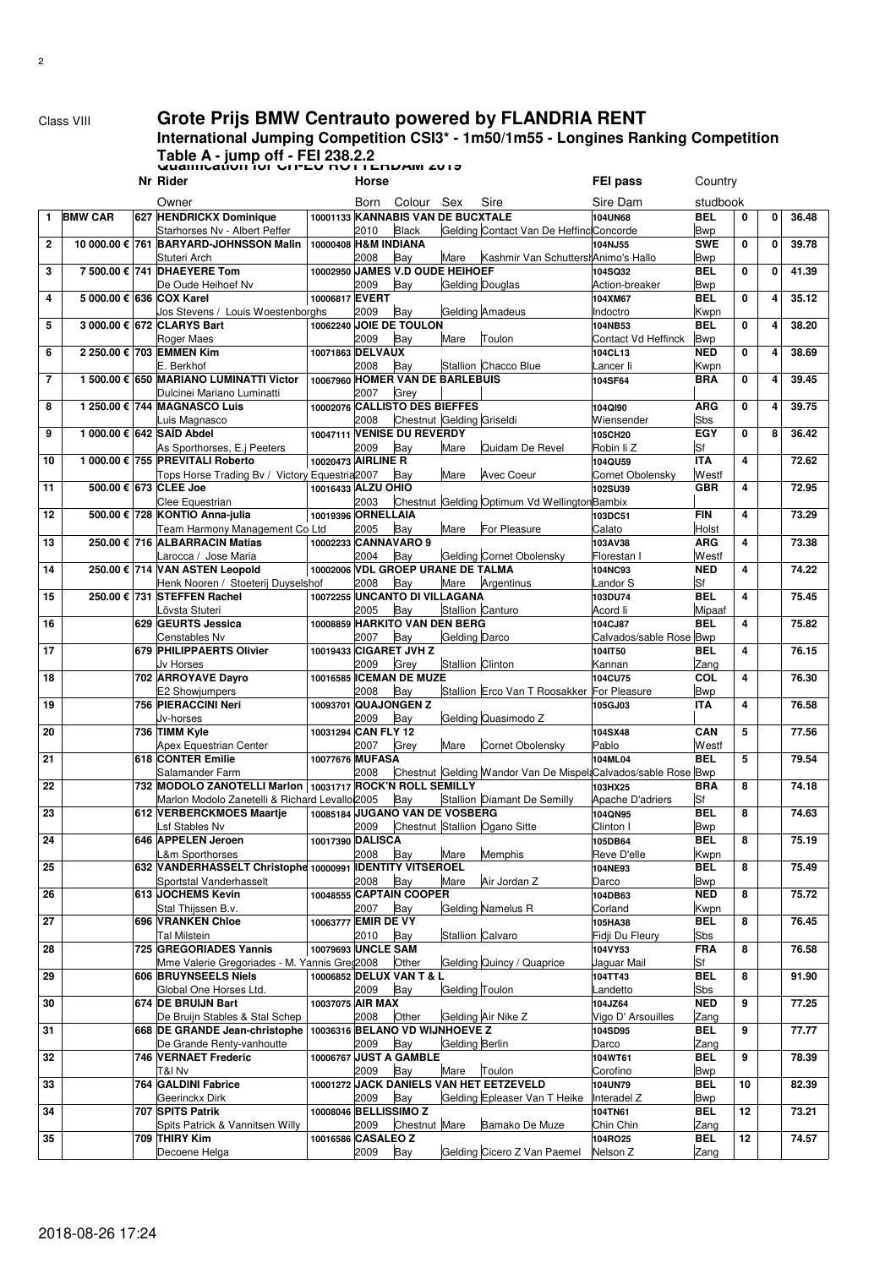²

## Class VIII **Grote Prijs BMW Centrauto powered by FLANDRIA RENT**

## **International Jumping Competition CSI3\* - 1m50/1m55 - Longines Ranking Competition Table A - jump off - FEI 238.2.2 Qualification for CH-EU ROTTERDAM 2019**

| Sire<br>Sire Dam<br>studbook<br>Owner<br>Born<br>Colour Sex<br>10001133 KANNABIS VAN DE BUCXTALE<br><b>BMW CAR</b><br>627 HENDRICKX Dominique<br><b>BEL</b><br>104UN68<br>0<br>0<br>36.48<br>$\mathbf{1}$<br><b>Black</b><br>Gelding Contact Van De Heffinc Concorde<br>Starhorses Nv - Albert Peffer<br>2010<br><b>Bwp</b><br><b>SWE</b><br>10 000.00 € 761 BARYARD-JOHNSSON Malin<br>10000408 H&M INDIANA<br>0<br>39.78<br>$\overline{2}$<br>104NJ55<br>0<br>Bay<br>Stuteri Arch<br>2008<br>Mare<br>Kashmir Van SchuttershAnimo's Hallo<br><b>Bwp</b><br>10002950 JAMES V.D OUDE HEIHOEF<br>7 500,00 € 741 DHAEYERE Tom<br><b>BEL</b><br>0<br>41.39<br>3<br>104SQ32<br>$\mathbf 0$<br>Gelding Douglas<br>De Oude Heihoef Nv<br>2009<br>Bay<br>Action-breaker<br><b>Bwp</b><br>5 000.00 € 636 COX Karel<br>10006817 EVERT<br><b>BEL</b><br>0<br>35.12<br>4<br>104XM67<br>4<br><b>Gelding Amadeus</b><br>2009<br>Bay<br>Indoctro<br>Kwpn<br>Jos Stevens / Louis Woestenborghs<br>10062240 JOIE DE TOULON<br>3 000.00 € 672 CLARYS Bart<br><b>BEL</b><br>0<br>38.20<br>5<br>104NB53<br>4<br>Toulon<br>Roger Maes<br>2009<br>Bay<br>Mare<br>Contact Vd Heffinck<br><b>Bwp</b><br>2 250.00 € 703 EMMEN Kim<br>10071863 DELVAUX<br><b>NED</b><br>0<br>38.69<br>6<br>4<br>104CL13<br>2008<br>Bay<br>Stallion Chacco Blue<br>E. Berkhof<br>Lancer li<br>Kwpn<br>10067960 HOMER VAN DE BARLEBUIS<br>1 500.00 € 650 MARIANO LUMINATTI Victor<br><b>BRA</b><br>0<br>39.45<br>7<br>4<br>104SF64<br>Grey<br>Dulcinei Mariano Luminatti<br>2007<br>10002076 CALLISTO DES BIEFFES<br>1 250.00 € 744 MAGNASCO Luis<br><b>ARG</b><br>0<br>39.75<br>8<br>104QI90<br>4<br>Chestnut Gelding Griseldi<br>2008<br>Wiensender<br>Sbs<br>Luis Magnasco<br>10047111 VENISE DU REVERDY<br>1 000.00 € 642 SAÏD Abdel<br>EGY<br>0<br>36.42<br>9<br>105CH20<br>8<br>Bay<br>Sf<br>As Sporthorses, E.j Peeters<br>2009<br>Mare<br>Quidam De Revel<br>Robin li Z<br>1 000.00 € 755 PREVITALI Roberto<br>10020473 AIRLINE R<br><b>ITA</b><br>4<br>72.62<br>10<br>104QU59<br>Tops Horse Trading Bv / Victory Equestria 2007<br>Bay<br>Mare<br><b>Avec Coeur</b><br>Cornet Obolensky<br>Westf<br>500.00 € 673 CLEE Joe<br>10016433 ALZU OHIO<br><b>GBR</b><br>4<br>72.95<br>11<br><b>102SU39</b><br>Chestnut Gelding Optimum Vd Wellington Bambix<br>Clee Equestrian<br>2003<br><b>FIN</b><br>500.00 € 728 KONTIO Anna-julia<br>10019396 ORNELLAIA<br>4<br>73.29<br>12<br>103DC51<br>Bay<br>Holst<br>Team Harmony Management Co Ltd<br>2005<br>Mare<br>For Pleasure<br>Calato<br>13<br>250.00 € 716 ALBARRACIN Matias<br>10002233 CANNAVARO 9<br><b>ARG</b><br>4<br>73.38<br>103AV38<br>Gelding Cornet Obolensky<br>Bay<br>Westf<br>Larocca / Jose Maria<br>2004<br>Florestan<br>250.00 € 714 VAN ASTEN Leopold<br>10002006 VDL GROEP URANE DE TALMA<br><b>NED</b><br>4<br>74.22<br>14<br>104NC93<br>Bay<br>Mare<br>Argentinus<br>Sf<br>Henk Nooren / Stoeterij Duyselshof<br>2008<br>Landor S<br><b>BEL</b><br>250.00 € 731 STEFFEN Rachel<br>10072255 UNCANTO DI VILLAGANA<br>4<br>75.45<br>15<br>103DU74<br>Bay<br>Stallion Canturo<br>Mipaaf<br>Lövsta Stuteri<br>2005<br>Acord li<br>629 GEURTS Jessica<br>10008859 HARKITO VAN DEN BERG<br><b>BEL</b><br>4<br>75.82<br>16<br>104CJ87<br>Bay<br>Gelding Darco<br>Calvados/sable Rose Bwp<br>Censtables Nv<br>2007<br>17<br>679 PHILIPPAERTS Olivier<br>10019433 CIGARET JVH Z<br><b>BEL</b><br>4<br>76.15<br>104IT50<br>Stallion Clinton<br>Grey<br>Jv Horses<br>2009<br>Kannan<br>Zang<br>702 ARROYAVE Dayro<br>10016585 <b>ICEMAN DE MUZE</b><br>COL<br>4<br>18<br>104CU75<br>76.30<br>2008<br>Bay<br>Stallion Erco Van T Roosakker For Pleasure<br>E2 Showjumpers<br><b>Bwp</b><br>756 PIERACCINI Neri<br>10093701 QUAJONGEN Z<br>4<br>19<br><b>ITA</b><br>76.58<br>105GJ03<br>Gelding Quasimodo Z<br>Jv-horses<br>2009<br>Bay<br>10031294 CAN FLY 12<br>736 TIMM Kyle<br>CAN<br>5<br>20<br>104SX48<br>77.56<br>2007<br>Grey<br>Westf<br>Apex Equestrian Center<br>Mare<br>Cornet Obolensky<br>Pablo<br>618 CONTER Emilie<br><b>BEL</b><br>10077676 MUFASA<br>5<br>79.54<br>21<br>104ML04<br>Chestnut Gelding Wandor Van De Mispel Calvados/sable Rose Bwp<br>2008<br>Salamander Farm<br>732 MODOLO ZANOTELLI Marlon   10031717 ROCK'N ROLL SEMILLY<br><b>BRA</b><br>8<br>74.18<br>22<br>103HX25<br>Marlon Modolo Zanetelli & Richard Levalloi2005<br>Bay<br>Stallion Diamant De Semilly<br>Apache D'adriers<br>Sf<br>10085184 JUGANO VAN DE VOSBERG<br>612 VERBERCKMOES Maartie<br><b>BEL</b><br>23<br>104QN95<br>8<br>74.63<br>Chestnut Stallion Ogano Sitte<br>_sf Stables Nv<br>2009<br>Clinton I<br><b>Bwp</b><br>24<br>646 APPELEN Jeroen<br>10017390 DALISCA<br><b>BEL</b><br>8<br>75.19<br>105DB64<br>Mare<br>Memphis<br>Bay<br>L&m Sporthorses<br>2008<br>Reve D'elle<br>Kwpn<br>25<br>632 VANDERHASSELT Christophe 10000991 IDENTITY VITSEROEL<br><b>BEL</b><br>8<br>75.49<br>104NE93<br>Bay<br>Sportstal Vanderhasselt<br>2008<br>Mare<br>Air Jordan Z<br>Darco<br><b>Bwp</b><br>10048555 CAPTAIN COOPER<br>613 JOCHEMS Kevin<br><b>NED</b><br>8<br>104DB63<br>75.72<br>26<br>Gelding Namelus R<br>Stal Thijssen B.v.<br>Bay<br>Corland<br>Kwpn<br>2007<br>696 VRANKEN Chloe<br>10063777 EMIR DE VY<br><b>BEL</b><br>27<br>105HA38<br>8<br>76.45<br>Stallion Calvaro<br>Tal Milstein<br>2010<br>Fidji Du Fleury<br>Sbs<br>Bay<br>725 GREGORIADES Yannis<br>10079693 UNCLE SAM<br>104VY53<br><b>FRA</b><br>8<br>28<br>76.58<br>Gelding Quincy / Quaprice<br>Mme Valerie Gregoriades - M. Yannis Greg2008<br>Other<br>Jaguar Mail<br>Sf<br>10006852 DELUX VAN T & L<br><b>BEL</b><br>29<br>606 BRUYNSEELS Niels<br>104TT43<br>8<br>91.90<br>Gelding Toulon<br>Global One Horses Ltd.<br>2009<br>Bay<br>_andetto<br>Sbs<br>674 DE BRUIJN Bart<br>10037075 AIR MAX<br>104JZ64<br><b>NED</b><br>9<br>30<br>77.25<br>Gelding Air Nike Z<br>2008<br>Other<br>Vigo D' Arsouilles<br>De Bruijn Stables & Stal Schep<br>Zang<br>10036316 BELANO VD WIJNHOEVE Z<br><b>BEL</b><br>9<br>31<br>668 DE GRANDE Jean-christophe<br>104SD95<br>77.77<br>Gelding Berlin<br>2009<br>Bay<br>Darco<br>Zang<br>De Grande Renty-vanhoutte<br>10006767 JUST A GAMBLE<br>104WT61<br><b>BEL</b><br>9<br>746 VERNAET Frederic<br>32<br>78.39<br>Bay<br>Toulon<br>Corofino<br><b>Bwp</b><br>T&I Nv<br>2009<br>Mare<br>764 GALDINI Fabrice<br>10001272 JACK DANIELS VAN HET EETZEVELD<br>104UN79<br><b>BEL</b><br>10<br>33<br>82.39<br>Gelding Epleaser Van T Heike<br>2009<br>Interadel Z<br><b>Bwp</b><br>Geerinckx Dirk<br>Bay<br>10008046 BELLISSIMO Z<br><b>BEL</b><br>707 SPITS Patrik<br>104TN61<br>12<br>34<br>73.21<br>Chestnut Mare<br>Bamako De Muze<br>2009<br>Chin Chin<br>Spits Patrick & Vannitsen Willy<br>Zang<br>10016586 CASALEO Z<br><b>BEL</b><br>709 THIRY Kim<br>104RO25<br>12<br>35<br>74.57<br>Gelding Cicero Z Van Paemel<br>Decoene Helga<br>2009<br>Bay<br>Nelson Z<br>Zang |  | Nr Rider | Horse |  | FEI pass | Country |  |  |
|-------------------------------------------------------------------------------------------------------------------------------------------------------------------------------------------------------------------------------------------------------------------------------------------------------------------------------------------------------------------------------------------------------------------------------------------------------------------------------------------------------------------------------------------------------------------------------------------------------------------------------------------------------------------------------------------------------------------------------------------------------------------------------------------------------------------------------------------------------------------------------------------------------------------------------------------------------------------------------------------------------------------------------------------------------------------------------------------------------------------------------------------------------------------------------------------------------------------------------------------------------------------------------------------------------------------------------------------------------------------------------------------------------------------------------------------------------------------------------------------------------------------------------------------------------------------------------------------------------------------------------------------------------------------------------------------------------------------------------------------------------------------------------------------------------------------------------------------------------------------------------------------------------------------------------------------------------------------------------------------------------------------------------------------------------------------------------------------------------------------------------------------------------------------------------------------------------------------------------------------------------------------------------------------------------------------------------------------------------------------------------------------------------------------------------------------------------------------------------------------------------------------------------------------------------------------------------------------------------------------------------------------------------------------------------------------------------------------------------------------------------------------------------------------------------------------------------------------------------------------------------------------------------------------------------------------------------------------------------------------------------------------------------------------------------------------------------------------------------------------------------------------------------------------------------------------------------------------------------------------------------------------------------------------------------------------------------------------------------------------------------------------------------------------------------------------------------------------------------------------------------------------------------------------------------------------------------------------------------------------------------------------------------------------------------------------------------------------------------------------------------------------------------------------------------------------------------------------------------------------------------------------------------------------------------------------------------------------------------------------------------------------------------------------------------------------------------------------------------------------------------------------------------------------------------------------------------------------------------------------------------------------------------------------------------------------------------------------------------------------------------------------------------------------------------------------------------------------------------------------------------------------------------------------------------------------------------------------------------------------------------------------------------------------------------------------------------------------------------------------------------------------------------------------------------------------------------------------------------------------------------------------------------------------------------------------------------------------------------------------------------------------------------------------------------------------------------------------------------------------------------------------------------------------------------------------------------------------------------------------------------------------------------------------------------------------------------------------------------------------------------------------------------------------------------------------------------------------------------------------------------------------------------------------------------------------------------------------------------------------------------------------------------------------------------------------------------------------------------------------------------------------------------------------------------------------------------------------------------------------------------------------------------------------------------------------------------------------------------------------------------------------------------------------------------------------------------------------------------------------------------------------------------------------------------------------------------------------------------------------------------------------------------------------------------------------------------------------------------------------------------------------------------------------------------------------------------------------------------------------------------------------------------------------------------------------------------------------------------------------------------------------------------------------------------------------------------------------------------------------------------------------------------------------------------------------------------------------------------------------------------------------------------------|--|----------|-------|--|----------|---------|--|--|
|                                                                                                                                                                                                                                                                                                                                                                                                                                                                                                                                                                                                                                                                                                                                                                                                                                                                                                                                                                                                                                                                                                                                                                                                                                                                                                                                                                                                                                                                                                                                                                                                                                                                                                                                                                                                                                                                                                                                                                                                                                                                                                                                                                                                                                                                                                                                                                                                                                                                                                                                                                                                                                                                                                                                                                                                                                                                                                                                                                                                                                                                                                                                                                                                                                                                                                                                                                                                                                                                                                                                                                                                                                                                                                                                                                                                                                                                                                                                                                                                                                                                                                                                                                                                                                                                                                                                                                                                                                                                                                                                                                                                                                                                                                                                                                                                                                                                                                                                                                                                                                                                                                                                                                                                                                                                                                                                                                                                                                                                                                                                                                                                                                                                                                                                                                                                                                                                                                                                                                                                                                                                                                                                                                                                                                                                                                                                                                                                                                                                                                                                                                                                                                                                                                                                                                                                                                                                                                             |  |          |       |  |          |         |  |  |
|                                                                                                                                                                                                                                                                                                                                                                                                                                                                                                                                                                                                                                                                                                                                                                                                                                                                                                                                                                                                                                                                                                                                                                                                                                                                                                                                                                                                                                                                                                                                                                                                                                                                                                                                                                                                                                                                                                                                                                                                                                                                                                                                                                                                                                                                                                                                                                                                                                                                                                                                                                                                                                                                                                                                                                                                                                                                                                                                                                                                                                                                                                                                                                                                                                                                                                                                                                                                                                                                                                                                                                                                                                                                                                                                                                                                                                                                                                                                                                                                                                                                                                                                                                                                                                                                                                                                                                                                                                                                                                                                                                                                                                                                                                                                                                                                                                                                                                                                                                                                                                                                                                                                                                                                                                                                                                                                                                                                                                                                                                                                                                                                                                                                                                                                                                                                                                                                                                                                                                                                                                                                                                                                                                                                                                                                                                                                                                                                                                                                                                                                                                                                                                                                                                                                                                                                                                                                                                             |  |          |       |  |          |         |  |  |
|                                                                                                                                                                                                                                                                                                                                                                                                                                                                                                                                                                                                                                                                                                                                                                                                                                                                                                                                                                                                                                                                                                                                                                                                                                                                                                                                                                                                                                                                                                                                                                                                                                                                                                                                                                                                                                                                                                                                                                                                                                                                                                                                                                                                                                                                                                                                                                                                                                                                                                                                                                                                                                                                                                                                                                                                                                                                                                                                                                                                                                                                                                                                                                                                                                                                                                                                                                                                                                                                                                                                                                                                                                                                                                                                                                                                                                                                                                                                                                                                                                                                                                                                                                                                                                                                                                                                                                                                                                                                                                                                                                                                                                                                                                                                                                                                                                                                                                                                                                                                                                                                                                                                                                                                                                                                                                                                                                                                                                                                                                                                                                                                                                                                                                                                                                                                                                                                                                                                                                                                                                                                                                                                                                                                                                                                                                                                                                                                                                                                                                                                                                                                                                                                                                                                                                                                                                                                                                             |  |          |       |  |          |         |  |  |
|                                                                                                                                                                                                                                                                                                                                                                                                                                                                                                                                                                                                                                                                                                                                                                                                                                                                                                                                                                                                                                                                                                                                                                                                                                                                                                                                                                                                                                                                                                                                                                                                                                                                                                                                                                                                                                                                                                                                                                                                                                                                                                                                                                                                                                                                                                                                                                                                                                                                                                                                                                                                                                                                                                                                                                                                                                                                                                                                                                                                                                                                                                                                                                                                                                                                                                                                                                                                                                                                                                                                                                                                                                                                                                                                                                                                                                                                                                                                                                                                                                                                                                                                                                                                                                                                                                                                                                                                                                                                                                                                                                                                                                                                                                                                                                                                                                                                                                                                                                                                                                                                                                                                                                                                                                                                                                                                                                                                                                                                                                                                                                                                                                                                                                                                                                                                                                                                                                                                                                                                                                                                                                                                                                                                                                                                                                                                                                                                                                                                                                                                                                                                                                                                                                                                                                                                                                                                                                             |  |          |       |  |          |         |  |  |
|                                                                                                                                                                                                                                                                                                                                                                                                                                                                                                                                                                                                                                                                                                                                                                                                                                                                                                                                                                                                                                                                                                                                                                                                                                                                                                                                                                                                                                                                                                                                                                                                                                                                                                                                                                                                                                                                                                                                                                                                                                                                                                                                                                                                                                                                                                                                                                                                                                                                                                                                                                                                                                                                                                                                                                                                                                                                                                                                                                                                                                                                                                                                                                                                                                                                                                                                                                                                                                                                                                                                                                                                                                                                                                                                                                                                                                                                                                                                                                                                                                                                                                                                                                                                                                                                                                                                                                                                                                                                                                                                                                                                                                                                                                                                                                                                                                                                                                                                                                                                                                                                                                                                                                                                                                                                                                                                                                                                                                                                                                                                                                                                                                                                                                                                                                                                                                                                                                                                                                                                                                                                                                                                                                                                                                                                                                                                                                                                                                                                                                                                                                                                                                                                                                                                                                                                                                                                                                             |  |          |       |  |          |         |  |  |
|                                                                                                                                                                                                                                                                                                                                                                                                                                                                                                                                                                                                                                                                                                                                                                                                                                                                                                                                                                                                                                                                                                                                                                                                                                                                                                                                                                                                                                                                                                                                                                                                                                                                                                                                                                                                                                                                                                                                                                                                                                                                                                                                                                                                                                                                                                                                                                                                                                                                                                                                                                                                                                                                                                                                                                                                                                                                                                                                                                                                                                                                                                                                                                                                                                                                                                                                                                                                                                                                                                                                                                                                                                                                                                                                                                                                                                                                                                                                                                                                                                                                                                                                                                                                                                                                                                                                                                                                                                                                                                                                                                                                                                                                                                                                                                                                                                                                                                                                                                                                                                                                                                                                                                                                                                                                                                                                                                                                                                                                                                                                                                                                                                                                                                                                                                                                                                                                                                                                                                                                                                                                                                                                                                                                                                                                                                                                                                                                                                                                                                                                                                                                                                                                                                                                                                                                                                                                                                             |  |          |       |  |          |         |  |  |
|                                                                                                                                                                                                                                                                                                                                                                                                                                                                                                                                                                                                                                                                                                                                                                                                                                                                                                                                                                                                                                                                                                                                                                                                                                                                                                                                                                                                                                                                                                                                                                                                                                                                                                                                                                                                                                                                                                                                                                                                                                                                                                                                                                                                                                                                                                                                                                                                                                                                                                                                                                                                                                                                                                                                                                                                                                                                                                                                                                                                                                                                                                                                                                                                                                                                                                                                                                                                                                                                                                                                                                                                                                                                                                                                                                                                                                                                                                                                                                                                                                                                                                                                                                                                                                                                                                                                                                                                                                                                                                                                                                                                                                                                                                                                                                                                                                                                                                                                                                                                                                                                                                                                                                                                                                                                                                                                                                                                                                                                                                                                                                                                                                                                                                                                                                                                                                                                                                                                                                                                                                                                                                                                                                                                                                                                                                                                                                                                                                                                                                                                                                                                                                                                                                                                                                                                                                                                                                             |  |          |       |  |          |         |  |  |
|                                                                                                                                                                                                                                                                                                                                                                                                                                                                                                                                                                                                                                                                                                                                                                                                                                                                                                                                                                                                                                                                                                                                                                                                                                                                                                                                                                                                                                                                                                                                                                                                                                                                                                                                                                                                                                                                                                                                                                                                                                                                                                                                                                                                                                                                                                                                                                                                                                                                                                                                                                                                                                                                                                                                                                                                                                                                                                                                                                                                                                                                                                                                                                                                                                                                                                                                                                                                                                                                                                                                                                                                                                                                                                                                                                                                                                                                                                                                                                                                                                                                                                                                                                                                                                                                                                                                                                                                                                                                                                                                                                                                                                                                                                                                                                                                                                                                                                                                                                                                                                                                                                                                                                                                                                                                                                                                                                                                                                                                                                                                                                                                                                                                                                                                                                                                                                                                                                                                                                                                                                                                                                                                                                                                                                                                                                                                                                                                                                                                                                                                                                                                                                                                                                                                                                                                                                                                                                             |  |          |       |  |          |         |  |  |
|                                                                                                                                                                                                                                                                                                                                                                                                                                                                                                                                                                                                                                                                                                                                                                                                                                                                                                                                                                                                                                                                                                                                                                                                                                                                                                                                                                                                                                                                                                                                                                                                                                                                                                                                                                                                                                                                                                                                                                                                                                                                                                                                                                                                                                                                                                                                                                                                                                                                                                                                                                                                                                                                                                                                                                                                                                                                                                                                                                                                                                                                                                                                                                                                                                                                                                                                                                                                                                                                                                                                                                                                                                                                                                                                                                                                                                                                                                                                                                                                                                                                                                                                                                                                                                                                                                                                                                                                                                                                                                                                                                                                                                                                                                                                                                                                                                                                                                                                                                                                                                                                                                                                                                                                                                                                                                                                                                                                                                                                                                                                                                                                                                                                                                                                                                                                                                                                                                                                                                                                                                                                                                                                                                                                                                                                                                                                                                                                                                                                                                                                                                                                                                                                                                                                                                                                                                                                                                             |  |          |       |  |          |         |  |  |
|                                                                                                                                                                                                                                                                                                                                                                                                                                                                                                                                                                                                                                                                                                                                                                                                                                                                                                                                                                                                                                                                                                                                                                                                                                                                                                                                                                                                                                                                                                                                                                                                                                                                                                                                                                                                                                                                                                                                                                                                                                                                                                                                                                                                                                                                                                                                                                                                                                                                                                                                                                                                                                                                                                                                                                                                                                                                                                                                                                                                                                                                                                                                                                                                                                                                                                                                                                                                                                                                                                                                                                                                                                                                                                                                                                                                                                                                                                                                                                                                                                                                                                                                                                                                                                                                                                                                                                                                                                                                                                                                                                                                                                                                                                                                                                                                                                                                                                                                                                                                                                                                                                                                                                                                                                                                                                                                                                                                                                                                                                                                                                                                                                                                                                                                                                                                                                                                                                                                                                                                                                                                                                                                                                                                                                                                                                                                                                                                                                                                                                                                                                                                                                                                                                                                                                                                                                                                                                             |  |          |       |  |          |         |  |  |
|                                                                                                                                                                                                                                                                                                                                                                                                                                                                                                                                                                                                                                                                                                                                                                                                                                                                                                                                                                                                                                                                                                                                                                                                                                                                                                                                                                                                                                                                                                                                                                                                                                                                                                                                                                                                                                                                                                                                                                                                                                                                                                                                                                                                                                                                                                                                                                                                                                                                                                                                                                                                                                                                                                                                                                                                                                                                                                                                                                                                                                                                                                                                                                                                                                                                                                                                                                                                                                                                                                                                                                                                                                                                                                                                                                                                                                                                                                                                                                                                                                                                                                                                                                                                                                                                                                                                                                                                                                                                                                                                                                                                                                                                                                                                                                                                                                                                                                                                                                                                                                                                                                                                                                                                                                                                                                                                                                                                                                                                                                                                                                                                                                                                                                                                                                                                                                                                                                                                                                                                                                                                                                                                                                                                                                                                                                                                                                                                                                                                                                                                                                                                                                                                                                                                                                                                                                                                                                             |  |          |       |  |          |         |  |  |
|                                                                                                                                                                                                                                                                                                                                                                                                                                                                                                                                                                                                                                                                                                                                                                                                                                                                                                                                                                                                                                                                                                                                                                                                                                                                                                                                                                                                                                                                                                                                                                                                                                                                                                                                                                                                                                                                                                                                                                                                                                                                                                                                                                                                                                                                                                                                                                                                                                                                                                                                                                                                                                                                                                                                                                                                                                                                                                                                                                                                                                                                                                                                                                                                                                                                                                                                                                                                                                                                                                                                                                                                                                                                                                                                                                                                                                                                                                                                                                                                                                                                                                                                                                                                                                                                                                                                                                                                                                                                                                                                                                                                                                                                                                                                                                                                                                                                                                                                                                                                                                                                                                                                                                                                                                                                                                                                                                                                                                                                                                                                                                                                                                                                                                                                                                                                                                                                                                                                                                                                                                                                                                                                                                                                                                                                                                                                                                                                                                                                                                                                                                                                                                                                                                                                                                                                                                                                                                             |  |          |       |  |          |         |  |  |
|                                                                                                                                                                                                                                                                                                                                                                                                                                                                                                                                                                                                                                                                                                                                                                                                                                                                                                                                                                                                                                                                                                                                                                                                                                                                                                                                                                                                                                                                                                                                                                                                                                                                                                                                                                                                                                                                                                                                                                                                                                                                                                                                                                                                                                                                                                                                                                                                                                                                                                                                                                                                                                                                                                                                                                                                                                                                                                                                                                                                                                                                                                                                                                                                                                                                                                                                                                                                                                                                                                                                                                                                                                                                                                                                                                                                                                                                                                                                                                                                                                                                                                                                                                                                                                                                                                                                                                                                                                                                                                                                                                                                                                                                                                                                                                                                                                                                                                                                                                                                                                                                                                                                                                                                                                                                                                                                                                                                                                                                                                                                                                                                                                                                                                                                                                                                                                                                                                                                                                                                                                                                                                                                                                                                                                                                                                                                                                                                                                                                                                                                                                                                                                                                                                                                                                                                                                                                                                             |  |          |       |  |          |         |  |  |
|                                                                                                                                                                                                                                                                                                                                                                                                                                                                                                                                                                                                                                                                                                                                                                                                                                                                                                                                                                                                                                                                                                                                                                                                                                                                                                                                                                                                                                                                                                                                                                                                                                                                                                                                                                                                                                                                                                                                                                                                                                                                                                                                                                                                                                                                                                                                                                                                                                                                                                                                                                                                                                                                                                                                                                                                                                                                                                                                                                                                                                                                                                                                                                                                                                                                                                                                                                                                                                                                                                                                                                                                                                                                                                                                                                                                                                                                                                                                                                                                                                                                                                                                                                                                                                                                                                                                                                                                                                                                                                                                                                                                                                                                                                                                                                                                                                                                                                                                                                                                                                                                                                                                                                                                                                                                                                                                                                                                                                                                                                                                                                                                                                                                                                                                                                                                                                                                                                                                                                                                                                                                                                                                                                                                                                                                                                                                                                                                                                                                                                                                                                                                                                                                                                                                                                                                                                                                                                             |  |          |       |  |          |         |  |  |
|                                                                                                                                                                                                                                                                                                                                                                                                                                                                                                                                                                                                                                                                                                                                                                                                                                                                                                                                                                                                                                                                                                                                                                                                                                                                                                                                                                                                                                                                                                                                                                                                                                                                                                                                                                                                                                                                                                                                                                                                                                                                                                                                                                                                                                                                                                                                                                                                                                                                                                                                                                                                                                                                                                                                                                                                                                                                                                                                                                                                                                                                                                                                                                                                                                                                                                                                                                                                                                                                                                                                                                                                                                                                                                                                                                                                                                                                                                                                                                                                                                                                                                                                                                                                                                                                                                                                                                                                                                                                                                                                                                                                                                                                                                                                                                                                                                                                                                                                                                                                                                                                                                                                                                                                                                                                                                                                                                                                                                                                                                                                                                                                                                                                                                                                                                                                                                                                                                                                                                                                                                                                                                                                                                                                                                                                                                                                                                                                                                                                                                                                                                                                                                                                                                                                                                                                                                                                                                             |  |          |       |  |          |         |  |  |
|                                                                                                                                                                                                                                                                                                                                                                                                                                                                                                                                                                                                                                                                                                                                                                                                                                                                                                                                                                                                                                                                                                                                                                                                                                                                                                                                                                                                                                                                                                                                                                                                                                                                                                                                                                                                                                                                                                                                                                                                                                                                                                                                                                                                                                                                                                                                                                                                                                                                                                                                                                                                                                                                                                                                                                                                                                                                                                                                                                                                                                                                                                                                                                                                                                                                                                                                                                                                                                                                                                                                                                                                                                                                                                                                                                                                                                                                                                                                                                                                                                                                                                                                                                                                                                                                                                                                                                                                                                                                                                                                                                                                                                                                                                                                                                                                                                                                                                                                                                                                                                                                                                                                                                                                                                                                                                                                                                                                                                                                                                                                                                                                                                                                                                                                                                                                                                                                                                                                                                                                                                                                                                                                                                                                                                                                                                                                                                                                                                                                                                                                                                                                                                                                                                                                                                                                                                                                                                             |  |          |       |  |          |         |  |  |
|                                                                                                                                                                                                                                                                                                                                                                                                                                                                                                                                                                                                                                                                                                                                                                                                                                                                                                                                                                                                                                                                                                                                                                                                                                                                                                                                                                                                                                                                                                                                                                                                                                                                                                                                                                                                                                                                                                                                                                                                                                                                                                                                                                                                                                                                                                                                                                                                                                                                                                                                                                                                                                                                                                                                                                                                                                                                                                                                                                                                                                                                                                                                                                                                                                                                                                                                                                                                                                                                                                                                                                                                                                                                                                                                                                                                                                                                                                                                                                                                                                                                                                                                                                                                                                                                                                                                                                                                                                                                                                                                                                                                                                                                                                                                                                                                                                                                                                                                                                                                                                                                                                                                                                                                                                                                                                                                                                                                                                                                                                                                                                                                                                                                                                                                                                                                                                                                                                                                                                                                                                                                                                                                                                                                                                                                                                                                                                                                                                                                                                                                                                                                                                                                                                                                                                                                                                                                                                             |  |          |       |  |          |         |  |  |
|                                                                                                                                                                                                                                                                                                                                                                                                                                                                                                                                                                                                                                                                                                                                                                                                                                                                                                                                                                                                                                                                                                                                                                                                                                                                                                                                                                                                                                                                                                                                                                                                                                                                                                                                                                                                                                                                                                                                                                                                                                                                                                                                                                                                                                                                                                                                                                                                                                                                                                                                                                                                                                                                                                                                                                                                                                                                                                                                                                                                                                                                                                                                                                                                                                                                                                                                                                                                                                                                                                                                                                                                                                                                                                                                                                                                                                                                                                                                                                                                                                                                                                                                                                                                                                                                                                                                                                                                                                                                                                                                                                                                                                                                                                                                                                                                                                                                                                                                                                                                                                                                                                                                                                                                                                                                                                                                                                                                                                                                                                                                                                                                                                                                                                                                                                                                                                                                                                                                                                                                                                                                                                                                                                                                                                                                                                                                                                                                                                                                                                                                                                                                                                                                                                                                                                                                                                                                                                             |  |          |       |  |          |         |  |  |
|                                                                                                                                                                                                                                                                                                                                                                                                                                                                                                                                                                                                                                                                                                                                                                                                                                                                                                                                                                                                                                                                                                                                                                                                                                                                                                                                                                                                                                                                                                                                                                                                                                                                                                                                                                                                                                                                                                                                                                                                                                                                                                                                                                                                                                                                                                                                                                                                                                                                                                                                                                                                                                                                                                                                                                                                                                                                                                                                                                                                                                                                                                                                                                                                                                                                                                                                                                                                                                                                                                                                                                                                                                                                                                                                                                                                                                                                                                                                                                                                                                                                                                                                                                                                                                                                                                                                                                                                                                                                                                                                                                                                                                                                                                                                                                                                                                                                                                                                                                                                                                                                                                                                                                                                                                                                                                                                                                                                                                                                                                                                                                                                                                                                                                                                                                                                                                                                                                                                                                                                                                                                                                                                                                                                                                                                                                                                                                                                                                                                                                                                                                                                                                                                                                                                                                                                                                                                                                             |  |          |       |  |          |         |  |  |
|                                                                                                                                                                                                                                                                                                                                                                                                                                                                                                                                                                                                                                                                                                                                                                                                                                                                                                                                                                                                                                                                                                                                                                                                                                                                                                                                                                                                                                                                                                                                                                                                                                                                                                                                                                                                                                                                                                                                                                                                                                                                                                                                                                                                                                                                                                                                                                                                                                                                                                                                                                                                                                                                                                                                                                                                                                                                                                                                                                                                                                                                                                                                                                                                                                                                                                                                                                                                                                                                                                                                                                                                                                                                                                                                                                                                                                                                                                                                                                                                                                                                                                                                                                                                                                                                                                                                                                                                                                                                                                                                                                                                                                                                                                                                                                                                                                                                                                                                                                                                                                                                                                                                                                                                                                                                                                                                                                                                                                                                                                                                                                                                                                                                                                                                                                                                                                                                                                                                                                                                                                                                                                                                                                                                                                                                                                                                                                                                                                                                                                                                                                                                                                                                                                                                                                                                                                                                                                             |  |          |       |  |          |         |  |  |
|                                                                                                                                                                                                                                                                                                                                                                                                                                                                                                                                                                                                                                                                                                                                                                                                                                                                                                                                                                                                                                                                                                                                                                                                                                                                                                                                                                                                                                                                                                                                                                                                                                                                                                                                                                                                                                                                                                                                                                                                                                                                                                                                                                                                                                                                                                                                                                                                                                                                                                                                                                                                                                                                                                                                                                                                                                                                                                                                                                                                                                                                                                                                                                                                                                                                                                                                                                                                                                                                                                                                                                                                                                                                                                                                                                                                                                                                                                                                                                                                                                                                                                                                                                                                                                                                                                                                                                                                                                                                                                                                                                                                                                                                                                                                                                                                                                                                                                                                                                                                                                                                                                                                                                                                                                                                                                                                                                                                                                                                                                                                                                                                                                                                                                                                                                                                                                                                                                                                                                                                                                                                                                                                                                                                                                                                                                                                                                                                                                                                                                                                                                                                                                                                                                                                                                                                                                                                                                             |  |          |       |  |          |         |  |  |
|                                                                                                                                                                                                                                                                                                                                                                                                                                                                                                                                                                                                                                                                                                                                                                                                                                                                                                                                                                                                                                                                                                                                                                                                                                                                                                                                                                                                                                                                                                                                                                                                                                                                                                                                                                                                                                                                                                                                                                                                                                                                                                                                                                                                                                                                                                                                                                                                                                                                                                                                                                                                                                                                                                                                                                                                                                                                                                                                                                                                                                                                                                                                                                                                                                                                                                                                                                                                                                                                                                                                                                                                                                                                                                                                                                                                                                                                                                                                                                                                                                                                                                                                                                                                                                                                                                                                                                                                                                                                                                                                                                                                                                                                                                                                                                                                                                                                                                                                                                                                                                                                                                                                                                                                                                                                                                                                                                                                                                                                                                                                                                                                                                                                                                                                                                                                                                                                                                                                                                                                                                                                                                                                                                                                                                                                                                                                                                                                                                                                                                                                                                                                                                                                                                                                                                                                                                                                                                             |  |          |       |  |          |         |  |  |
|                                                                                                                                                                                                                                                                                                                                                                                                                                                                                                                                                                                                                                                                                                                                                                                                                                                                                                                                                                                                                                                                                                                                                                                                                                                                                                                                                                                                                                                                                                                                                                                                                                                                                                                                                                                                                                                                                                                                                                                                                                                                                                                                                                                                                                                                                                                                                                                                                                                                                                                                                                                                                                                                                                                                                                                                                                                                                                                                                                                                                                                                                                                                                                                                                                                                                                                                                                                                                                                                                                                                                                                                                                                                                                                                                                                                                                                                                                                                                                                                                                                                                                                                                                                                                                                                                                                                                                                                                                                                                                                                                                                                                                                                                                                                                                                                                                                                                                                                                                                                                                                                                                                                                                                                                                                                                                                                                                                                                                                                                                                                                                                                                                                                                                                                                                                                                                                                                                                                                                                                                                                                                                                                                                                                                                                                                                                                                                                                                                                                                                                                                                                                                                                                                                                                                                                                                                                                                                             |  |          |       |  |          |         |  |  |
|                                                                                                                                                                                                                                                                                                                                                                                                                                                                                                                                                                                                                                                                                                                                                                                                                                                                                                                                                                                                                                                                                                                                                                                                                                                                                                                                                                                                                                                                                                                                                                                                                                                                                                                                                                                                                                                                                                                                                                                                                                                                                                                                                                                                                                                                                                                                                                                                                                                                                                                                                                                                                                                                                                                                                                                                                                                                                                                                                                                                                                                                                                                                                                                                                                                                                                                                                                                                                                                                                                                                                                                                                                                                                                                                                                                                                                                                                                                                                                                                                                                                                                                                                                                                                                                                                                                                                                                                                                                                                                                                                                                                                                                                                                                                                                                                                                                                                                                                                                                                                                                                                                                                                                                                                                                                                                                                                                                                                                                                                                                                                                                                                                                                                                                                                                                                                                                                                                                                                                                                                                                                                                                                                                                                                                                                                                                                                                                                                                                                                                                                                                                                                                                                                                                                                                                                                                                                                                             |  |          |       |  |          |         |  |  |
|                                                                                                                                                                                                                                                                                                                                                                                                                                                                                                                                                                                                                                                                                                                                                                                                                                                                                                                                                                                                                                                                                                                                                                                                                                                                                                                                                                                                                                                                                                                                                                                                                                                                                                                                                                                                                                                                                                                                                                                                                                                                                                                                                                                                                                                                                                                                                                                                                                                                                                                                                                                                                                                                                                                                                                                                                                                                                                                                                                                                                                                                                                                                                                                                                                                                                                                                                                                                                                                                                                                                                                                                                                                                                                                                                                                                                                                                                                                                                                                                                                                                                                                                                                                                                                                                                                                                                                                                                                                                                                                                                                                                                                                                                                                                                                                                                                                                                                                                                                                                                                                                                                                                                                                                                                                                                                                                                                                                                                                                                                                                                                                                                                                                                                                                                                                                                                                                                                                                                                                                                                                                                                                                                                                                                                                                                                                                                                                                                                                                                                                                                                                                                                                                                                                                                                                                                                                                                                             |  |          |       |  |          |         |  |  |
|                                                                                                                                                                                                                                                                                                                                                                                                                                                                                                                                                                                                                                                                                                                                                                                                                                                                                                                                                                                                                                                                                                                                                                                                                                                                                                                                                                                                                                                                                                                                                                                                                                                                                                                                                                                                                                                                                                                                                                                                                                                                                                                                                                                                                                                                                                                                                                                                                                                                                                                                                                                                                                                                                                                                                                                                                                                                                                                                                                                                                                                                                                                                                                                                                                                                                                                                                                                                                                                                                                                                                                                                                                                                                                                                                                                                                                                                                                                                                                                                                                                                                                                                                                                                                                                                                                                                                                                                                                                                                                                                                                                                                                                                                                                                                                                                                                                                                                                                                                                                                                                                                                                                                                                                                                                                                                                                                                                                                                                                                                                                                                                                                                                                                                                                                                                                                                                                                                                                                                                                                                                                                                                                                                                                                                                                                                                                                                                                                                                                                                                                                                                                                                                                                                                                                                                                                                                                                                             |  |          |       |  |          |         |  |  |
|                                                                                                                                                                                                                                                                                                                                                                                                                                                                                                                                                                                                                                                                                                                                                                                                                                                                                                                                                                                                                                                                                                                                                                                                                                                                                                                                                                                                                                                                                                                                                                                                                                                                                                                                                                                                                                                                                                                                                                                                                                                                                                                                                                                                                                                                                                                                                                                                                                                                                                                                                                                                                                                                                                                                                                                                                                                                                                                                                                                                                                                                                                                                                                                                                                                                                                                                                                                                                                                                                                                                                                                                                                                                                                                                                                                                                                                                                                                                                                                                                                                                                                                                                                                                                                                                                                                                                                                                                                                                                                                                                                                                                                                                                                                                                                                                                                                                                                                                                                                                                                                                                                                                                                                                                                                                                                                                                                                                                                                                                                                                                                                                                                                                                                                                                                                                                                                                                                                                                                                                                                                                                                                                                                                                                                                                                                                                                                                                                                                                                                                                                                                                                                                                                                                                                                                                                                                                                                             |  |          |       |  |          |         |  |  |
|                                                                                                                                                                                                                                                                                                                                                                                                                                                                                                                                                                                                                                                                                                                                                                                                                                                                                                                                                                                                                                                                                                                                                                                                                                                                                                                                                                                                                                                                                                                                                                                                                                                                                                                                                                                                                                                                                                                                                                                                                                                                                                                                                                                                                                                                                                                                                                                                                                                                                                                                                                                                                                                                                                                                                                                                                                                                                                                                                                                                                                                                                                                                                                                                                                                                                                                                                                                                                                                                                                                                                                                                                                                                                                                                                                                                                                                                                                                                                                                                                                                                                                                                                                                                                                                                                                                                                                                                                                                                                                                                                                                                                                                                                                                                                                                                                                                                                                                                                                                                                                                                                                                                                                                                                                                                                                                                                                                                                                                                                                                                                                                                                                                                                                                                                                                                                                                                                                                                                                                                                                                                                                                                                                                                                                                                                                                                                                                                                                                                                                                                                                                                                                                                                                                                                                                                                                                                                                             |  |          |       |  |          |         |  |  |
|                                                                                                                                                                                                                                                                                                                                                                                                                                                                                                                                                                                                                                                                                                                                                                                                                                                                                                                                                                                                                                                                                                                                                                                                                                                                                                                                                                                                                                                                                                                                                                                                                                                                                                                                                                                                                                                                                                                                                                                                                                                                                                                                                                                                                                                                                                                                                                                                                                                                                                                                                                                                                                                                                                                                                                                                                                                                                                                                                                                                                                                                                                                                                                                                                                                                                                                                                                                                                                                                                                                                                                                                                                                                                                                                                                                                                                                                                                                                                                                                                                                                                                                                                                                                                                                                                                                                                                                                                                                                                                                                                                                                                                                                                                                                                                                                                                                                                                                                                                                                                                                                                                                                                                                                                                                                                                                                                                                                                                                                                                                                                                                                                                                                                                                                                                                                                                                                                                                                                                                                                                                                                                                                                                                                                                                                                                                                                                                                                                                                                                                                                                                                                                                                                                                                                                                                                                                                                                             |  |          |       |  |          |         |  |  |
|                                                                                                                                                                                                                                                                                                                                                                                                                                                                                                                                                                                                                                                                                                                                                                                                                                                                                                                                                                                                                                                                                                                                                                                                                                                                                                                                                                                                                                                                                                                                                                                                                                                                                                                                                                                                                                                                                                                                                                                                                                                                                                                                                                                                                                                                                                                                                                                                                                                                                                                                                                                                                                                                                                                                                                                                                                                                                                                                                                                                                                                                                                                                                                                                                                                                                                                                                                                                                                                                                                                                                                                                                                                                                                                                                                                                                                                                                                                                                                                                                                                                                                                                                                                                                                                                                                                                                                                                                                                                                                                                                                                                                                                                                                                                                                                                                                                                                                                                                                                                                                                                                                                                                                                                                                                                                                                                                                                                                                                                                                                                                                                                                                                                                                                                                                                                                                                                                                                                                                                                                                                                                                                                                                                                                                                                                                                                                                                                                                                                                                                                                                                                                                                                                                                                                                                                                                                                                                             |  |          |       |  |          |         |  |  |
|                                                                                                                                                                                                                                                                                                                                                                                                                                                                                                                                                                                                                                                                                                                                                                                                                                                                                                                                                                                                                                                                                                                                                                                                                                                                                                                                                                                                                                                                                                                                                                                                                                                                                                                                                                                                                                                                                                                                                                                                                                                                                                                                                                                                                                                                                                                                                                                                                                                                                                                                                                                                                                                                                                                                                                                                                                                                                                                                                                                                                                                                                                                                                                                                                                                                                                                                                                                                                                                                                                                                                                                                                                                                                                                                                                                                                                                                                                                                                                                                                                                                                                                                                                                                                                                                                                                                                                                                                                                                                                                                                                                                                                                                                                                                                                                                                                                                                                                                                                                                                                                                                                                                                                                                                                                                                                                                                                                                                                                                                                                                                                                                                                                                                                                                                                                                                                                                                                                                                                                                                                                                                                                                                                                                                                                                                                                                                                                                                                                                                                                                                                                                                                                                                                                                                                                                                                                                                                             |  |          |       |  |          |         |  |  |
|                                                                                                                                                                                                                                                                                                                                                                                                                                                                                                                                                                                                                                                                                                                                                                                                                                                                                                                                                                                                                                                                                                                                                                                                                                                                                                                                                                                                                                                                                                                                                                                                                                                                                                                                                                                                                                                                                                                                                                                                                                                                                                                                                                                                                                                                                                                                                                                                                                                                                                                                                                                                                                                                                                                                                                                                                                                                                                                                                                                                                                                                                                                                                                                                                                                                                                                                                                                                                                                                                                                                                                                                                                                                                                                                                                                                                                                                                                                                                                                                                                                                                                                                                                                                                                                                                                                                                                                                                                                                                                                                                                                                                                                                                                                                                                                                                                                                                                                                                                                                                                                                                                                                                                                                                                                                                                                                                                                                                                                                                                                                                                                                                                                                                                                                                                                                                                                                                                                                                                                                                                                                                                                                                                                                                                                                                                                                                                                                                                                                                                                                                                                                                                                                                                                                                                                                                                                                                                             |  |          |       |  |          |         |  |  |
|                                                                                                                                                                                                                                                                                                                                                                                                                                                                                                                                                                                                                                                                                                                                                                                                                                                                                                                                                                                                                                                                                                                                                                                                                                                                                                                                                                                                                                                                                                                                                                                                                                                                                                                                                                                                                                                                                                                                                                                                                                                                                                                                                                                                                                                                                                                                                                                                                                                                                                                                                                                                                                                                                                                                                                                                                                                                                                                                                                                                                                                                                                                                                                                                                                                                                                                                                                                                                                                                                                                                                                                                                                                                                                                                                                                                                                                                                                                                                                                                                                                                                                                                                                                                                                                                                                                                                                                                                                                                                                                                                                                                                                                                                                                                                                                                                                                                                                                                                                                                                                                                                                                                                                                                                                                                                                                                                                                                                                                                                                                                                                                                                                                                                                                                                                                                                                                                                                                                                                                                                                                                                                                                                                                                                                                                                                                                                                                                                                                                                                                                                                                                                                                                                                                                                                                                                                                                                                             |  |          |       |  |          |         |  |  |
|                                                                                                                                                                                                                                                                                                                                                                                                                                                                                                                                                                                                                                                                                                                                                                                                                                                                                                                                                                                                                                                                                                                                                                                                                                                                                                                                                                                                                                                                                                                                                                                                                                                                                                                                                                                                                                                                                                                                                                                                                                                                                                                                                                                                                                                                                                                                                                                                                                                                                                                                                                                                                                                                                                                                                                                                                                                                                                                                                                                                                                                                                                                                                                                                                                                                                                                                                                                                                                                                                                                                                                                                                                                                                                                                                                                                                                                                                                                                                                                                                                                                                                                                                                                                                                                                                                                                                                                                                                                                                                                                                                                                                                                                                                                                                                                                                                                                                                                                                                                                                                                                                                                                                                                                                                                                                                                                                                                                                                                                                                                                                                                                                                                                                                                                                                                                                                                                                                                                                                                                                                                                                                                                                                                                                                                                                                                                                                                                                                                                                                                                                                                                                                                                                                                                                                                                                                                                                                             |  |          |       |  |          |         |  |  |
|                                                                                                                                                                                                                                                                                                                                                                                                                                                                                                                                                                                                                                                                                                                                                                                                                                                                                                                                                                                                                                                                                                                                                                                                                                                                                                                                                                                                                                                                                                                                                                                                                                                                                                                                                                                                                                                                                                                                                                                                                                                                                                                                                                                                                                                                                                                                                                                                                                                                                                                                                                                                                                                                                                                                                                                                                                                                                                                                                                                                                                                                                                                                                                                                                                                                                                                                                                                                                                                                                                                                                                                                                                                                                                                                                                                                                                                                                                                                                                                                                                                                                                                                                                                                                                                                                                                                                                                                                                                                                                                                                                                                                                                                                                                                                                                                                                                                                                                                                                                                                                                                                                                                                                                                                                                                                                                                                                                                                                                                                                                                                                                                                                                                                                                                                                                                                                                                                                                                                                                                                                                                                                                                                                                                                                                                                                                                                                                                                                                                                                                                                                                                                                                                                                                                                                                                                                                                                                             |  |          |       |  |          |         |  |  |
|                                                                                                                                                                                                                                                                                                                                                                                                                                                                                                                                                                                                                                                                                                                                                                                                                                                                                                                                                                                                                                                                                                                                                                                                                                                                                                                                                                                                                                                                                                                                                                                                                                                                                                                                                                                                                                                                                                                                                                                                                                                                                                                                                                                                                                                                                                                                                                                                                                                                                                                                                                                                                                                                                                                                                                                                                                                                                                                                                                                                                                                                                                                                                                                                                                                                                                                                                                                                                                                                                                                                                                                                                                                                                                                                                                                                                                                                                                                                                                                                                                                                                                                                                                                                                                                                                                                                                                                                                                                                                                                                                                                                                                                                                                                                                                                                                                                                                                                                                                                                                                                                                                                                                                                                                                                                                                                                                                                                                                                                                                                                                                                                                                                                                                                                                                                                                                                                                                                                                                                                                                                                                                                                                                                                                                                                                                                                                                                                                                                                                                                                                                                                                                                                                                                                                                                                                                                                                                             |  |          |       |  |          |         |  |  |
|                                                                                                                                                                                                                                                                                                                                                                                                                                                                                                                                                                                                                                                                                                                                                                                                                                                                                                                                                                                                                                                                                                                                                                                                                                                                                                                                                                                                                                                                                                                                                                                                                                                                                                                                                                                                                                                                                                                                                                                                                                                                                                                                                                                                                                                                                                                                                                                                                                                                                                                                                                                                                                                                                                                                                                                                                                                                                                                                                                                                                                                                                                                                                                                                                                                                                                                                                                                                                                                                                                                                                                                                                                                                                                                                                                                                                                                                                                                                                                                                                                                                                                                                                                                                                                                                                                                                                                                                                                                                                                                                                                                                                                                                                                                                                                                                                                                                                                                                                                                                                                                                                                                                                                                                                                                                                                                                                                                                                                                                                                                                                                                                                                                                                                                                                                                                                                                                                                                                                                                                                                                                                                                                                                                                                                                                                                                                                                                                                                                                                                                                                                                                                                                                                                                                                                                                                                                                                                             |  |          |       |  |          |         |  |  |
|                                                                                                                                                                                                                                                                                                                                                                                                                                                                                                                                                                                                                                                                                                                                                                                                                                                                                                                                                                                                                                                                                                                                                                                                                                                                                                                                                                                                                                                                                                                                                                                                                                                                                                                                                                                                                                                                                                                                                                                                                                                                                                                                                                                                                                                                                                                                                                                                                                                                                                                                                                                                                                                                                                                                                                                                                                                                                                                                                                                                                                                                                                                                                                                                                                                                                                                                                                                                                                                                                                                                                                                                                                                                                                                                                                                                                                                                                                                                                                                                                                                                                                                                                                                                                                                                                                                                                                                                                                                                                                                                                                                                                                                                                                                                                                                                                                                                                                                                                                                                                                                                                                                                                                                                                                                                                                                                                                                                                                                                                                                                                                                                                                                                                                                                                                                                                                                                                                                                                                                                                                                                                                                                                                                                                                                                                                                                                                                                                                                                                                                                                                                                                                                                                                                                                                                                                                                                                                             |  |          |       |  |          |         |  |  |
|                                                                                                                                                                                                                                                                                                                                                                                                                                                                                                                                                                                                                                                                                                                                                                                                                                                                                                                                                                                                                                                                                                                                                                                                                                                                                                                                                                                                                                                                                                                                                                                                                                                                                                                                                                                                                                                                                                                                                                                                                                                                                                                                                                                                                                                                                                                                                                                                                                                                                                                                                                                                                                                                                                                                                                                                                                                                                                                                                                                                                                                                                                                                                                                                                                                                                                                                                                                                                                                                                                                                                                                                                                                                                                                                                                                                                                                                                                                                                                                                                                                                                                                                                                                                                                                                                                                                                                                                                                                                                                                                                                                                                                                                                                                                                                                                                                                                                                                                                                                                                                                                                                                                                                                                                                                                                                                                                                                                                                                                                                                                                                                                                                                                                                                                                                                                                                                                                                                                                                                                                                                                                                                                                                                                                                                                                                                                                                                                                                                                                                                                                                                                                                                                                                                                                                                                                                                                                                             |  |          |       |  |          |         |  |  |
|                                                                                                                                                                                                                                                                                                                                                                                                                                                                                                                                                                                                                                                                                                                                                                                                                                                                                                                                                                                                                                                                                                                                                                                                                                                                                                                                                                                                                                                                                                                                                                                                                                                                                                                                                                                                                                                                                                                                                                                                                                                                                                                                                                                                                                                                                                                                                                                                                                                                                                                                                                                                                                                                                                                                                                                                                                                                                                                                                                                                                                                                                                                                                                                                                                                                                                                                                                                                                                                                                                                                                                                                                                                                                                                                                                                                                                                                                                                                                                                                                                                                                                                                                                                                                                                                                                                                                                                                                                                                                                                                                                                                                                                                                                                                                                                                                                                                                                                                                                                                                                                                                                                                                                                                                                                                                                                                                                                                                                                                                                                                                                                                                                                                                                                                                                                                                                                                                                                                                                                                                                                                                                                                                                                                                                                                                                                                                                                                                                                                                                                                                                                                                                                                                                                                                                                                                                                                                                             |  |          |       |  |          |         |  |  |
|                                                                                                                                                                                                                                                                                                                                                                                                                                                                                                                                                                                                                                                                                                                                                                                                                                                                                                                                                                                                                                                                                                                                                                                                                                                                                                                                                                                                                                                                                                                                                                                                                                                                                                                                                                                                                                                                                                                                                                                                                                                                                                                                                                                                                                                                                                                                                                                                                                                                                                                                                                                                                                                                                                                                                                                                                                                                                                                                                                                                                                                                                                                                                                                                                                                                                                                                                                                                                                                                                                                                                                                                                                                                                                                                                                                                                                                                                                                                                                                                                                                                                                                                                                                                                                                                                                                                                                                                                                                                                                                                                                                                                                                                                                                                                                                                                                                                                                                                                                                                                                                                                                                                                                                                                                                                                                                                                                                                                                                                                                                                                                                                                                                                                                                                                                                                                                                                                                                                                                                                                                                                                                                                                                                                                                                                                                                                                                                                                                                                                                                                                                                                                                                                                                                                                                                                                                                                                                             |  |          |       |  |          |         |  |  |
|                                                                                                                                                                                                                                                                                                                                                                                                                                                                                                                                                                                                                                                                                                                                                                                                                                                                                                                                                                                                                                                                                                                                                                                                                                                                                                                                                                                                                                                                                                                                                                                                                                                                                                                                                                                                                                                                                                                                                                                                                                                                                                                                                                                                                                                                                                                                                                                                                                                                                                                                                                                                                                                                                                                                                                                                                                                                                                                                                                                                                                                                                                                                                                                                                                                                                                                                                                                                                                                                                                                                                                                                                                                                                                                                                                                                                                                                                                                                                                                                                                                                                                                                                                                                                                                                                                                                                                                                                                                                                                                                                                                                                                                                                                                                                                                                                                                                                                                                                                                                                                                                                                                                                                                                                                                                                                                                                                                                                                                                                                                                                                                                                                                                                                                                                                                                                                                                                                                                                                                                                                                                                                                                                                                                                                                                                                                                                                                                                                                                                                                                                                                                                                                                                                                                                                                                                                                                                                             |  |          |       |  |          |         |  |  |
|                                                                                                                                                                                                                                                                                                                                                                                                                                                                                                                                                                                                                                                                                                                                                                                                                                                                                                                                                                                                                                                                                                                                                                                                                                                                                                                                                                                                                                                                                                                                                                                                                                                                                                                                                                                                                                                                                                                                                                                                                                                                                                                                                                                                                                                                                                                                                                                                                                                                                                                                                                                                                                                                                                                                                                                                                                                                                                                                                                                                                                                                                                                                                                                                                                                                                                                                                                                                                                                                                                                                                                                                                                                                                                                                                                                                                                                                                                                                                                                                                                                                                                                                                                                                                                                                                                                                                                                                                                                                                                                                                                                                                                                                                                                                                                                                                                                                                                                                                                                                                                                                                                                                                                                                                                                                                                                                                                                                                                                                                                                                                                                                                                                                                                                                                                                                                                                                                                                                                                                                                                                                                                                                                                                                                                                                                                                                                                                                                                                                                                                                                                                                                                                                                                                                                                                                                                                                                                             |  |          |       |  |          |         |  |  |
|                                                                                                                                                                                                                                                                                                                                                                                                                                                                                                                                                                                                                                                                                                                                                                                                                                                                                                                                                                                                                                                                                                                                                                                                                                                                                                                                                                                                                                                                                                                                                                                                                                                                                                                                                                                                                                                                                                                                                                                                                                                                                                                                                                                                                                                                                                                                                                                                                                                                                                                                                                                                                                                                                                                                                                                                                                                                                                                                                                                                                                                                                                                                                                                                                                                                                                                                                                                                                                                                                                                                                                                                                                                                                                                                                                                                                                                                                                                                                                                                                                                                                                                                                                                                                                                                                                                                                                                                                                                                                                                                                                                                                                                                                                                                                                                                                                                                                                                                                                                                                                                                                                                                                                                                                                                                                                                                                                                                                                                                                                                                                                                                                                                                                                                                                                                                                                                                                                                                                                                                                                                                                                                                                                                                                                                                                                                                                                                                                                                                                                                                                                                                                                                                                                                                                                                                                                                                                                             |  |          |       |  |          |         |  |  |
|                                                                                                                                                                                                                                                                                                                                                                                                                                                                                                                                                                                                                                                                                                                                                                                                                                                                                                                                                                                                                                                                                                                                                                                                                                                                                                                                                                                                                                                                                                                                                                                                                                                                                                                                                                                                                                                                                                                                                                                                                                                                                                                                                                                                                                                                                                                                                                                                                                                                                                                                                                                                                                                                                                                                                                                                                                                                                                                                                                                                                                                                                                                                                                                                                                                                                                                                                                                                                                                                                                                                                                                                                                                                                                                                                                                                                                                                                                                                                                                                                                                                                                                                                                                                                                                                                                                                                                                                                                                                                                                                                                                                                                                                                                                                                                                                                                                                                                                                                                                                                                                                                                                                                                                                                                                                                                                                                                                                                                                                                                                                                                                                                                                                                                                                                                                                                                                                                                                                                                                                                                                                                                                                                                                                                                                                                                                                                                                                                                                                                                                                                                                                                                                                                                                                                                                                                                                                                                             |  |          |       |  |          |         |  |  |
|                                                                                                                                                                                                                                                                                                                                                                                                                                                                                                                                                                                                                                                                                                                                                                                                                                                                                                                                                                                                                                                                                                                                                                                                                                                                                                                                                                                                                                                                                                                                                                                                                                                                                                                                                                                                                                                                                                                                                                                                                                                                                                                                                                                                                                                                                                                                                                                                                                                                                                                                                                                                                                                                                                                                                                                                                                                                                                                                                                                                                                                                                                                                                                                                                                                                                                                                                                                                                                                                                                                                                                                                                                                                                                                                                                                                                                                                                                                                                                                                                                                                                                                                                                                                                                                                                                                                                                                                                                                                                                                                                                                                                                                                                                                                                                                                                                                                                                                                                                                                                                                                                                                                                                                                                                                                                                                                                                                                                                                                                                                                                                                                                                                                                                                                                                                                                                                                                                                                                                                                                                                                                                                                                                                                                                                                                                                                                                                                                                                                                                                                                                                                                                                                                                                                                                                                                                                                                                             |  |          |       |  |          |         |  |  |
|                                                                                                                                                                                                                                                                                                                                                                                                                                                                                                                                                                                                                                                                                                                                                                                                                                                                                                                                                                                                                                                                                                                                                                                                                                                                                                                                                                                                                                                                                                                                                                                                                                                                                                                                                                                                                                                                                                                                                                                                                                                                                                                                                                                                                                                                                                                                                                                                                                                                                                                                                                                                                                                                                                                                                                                                                                                                                                                                                                                                                                                                                                                                                                                                                                                                                                                                                                                                                                                                                                                                                                                                                                                                                                                                                                                                                                                                                                                                                                                                                                                                                                                                                                                                                                                                                                                                                                                                                                                                                                                                                                                                                                                                                                                                                                                                                                                                                                                                                                                                                                                                                                                                                                                                                                                                                                                                                                                                                                                                                                                                                                                                                                                                                                                                                                                                                                                                                                                                                                                                                                                                                                                                                                                                                                                                                                                                                                                                                                                                                                                                                                                                                                                                                                                                                                                                                                                                                                             |  |          |       |  |          |         |  |  |
|                                                                                                                                                                                                                                                                                                                                                                                                                                                                                                                                                                                                                                                                                                                                                                                                                                                                                                                                                                                                                                                                                                                                                                                                                                                                                                                                                                                                                                                                                                                                                                                                                                                                                                                                                                                                                                                                                                                                                                                                                                                                                                                                                                                                                                                                                                                                                                                                                                                                                                                                                                                                                                                                                                                                                                                                                                                                                                                                                                                                                                                                                                                                                                                                                                                                                                                                                                                                                                                                                                                                                                                                                                                                                                                                                                                                                                                                                                                                                                                                                                                                                                                                                                                                                                                                                                                                                                                                                                                                                                                                                                                                                                                                                                                                                                                                                                                                                                                                                                                                                                                                                                                                                                                                                                                                                                                                                                                                                                                                                                                                                                                                                                                                                                                                                                                                                                                                                                                                                                                                                                                                                                                                                                                                                                                                                                                                                                                                                                                                                                                                                                                                                                                                                                                                                                                                                                                                                                             |  |          |       |  |          |         |  |  |
|                                                                                                                                                                                                                                                                                                                                                                                                                                                                                                                                                                                                                                                                                                                                                                                                                                                                                                                                                                                                                                                                                                                                                                                                                                                                                                                                                                                                                                                                                                                                                                                                                                                                                                                                                                                                                                                                                                                                                                                                                                                                                                                                                                                                                                                                                                                                                                                                                                                                                                                                                                                                                                                                                                                                                                                                                                                                                                                                                                                                                                                                                                                                                                                                                                                                                                                                                                                                                                                                                                                                                                                                                                                                                                                                                                                                                                                                                                                                                                                                                                                                                                                                                                                                                                                                                                                                                                                                                                                                                                                                                                                                                                                                                                                                                                                                                                                                                                                                                                                                                                                                                                                                                                                                                                                                                                                                                                                                                                                                                                                                                                                                                                                                                                                                                                                                                                                                                                                                                                                                                                                                                                                                                                                                                                                                                                                                                                                                                                                                                                                                                                                                                                                                                                                                                                                                                                                                                                             |  |          |       |  |          |         |  |  |
|                                                                                                                                                                                                                                                                                                                                                                                                                                                                                                                                                                                                                                                                                                                                                                                                                                                                                                                                                                                                                                                                                                                                                                                                                                                                                                                                                                                                                                                                                                                                                                                                                                                                                                                                                                                                                                                                                                                                                                                                                                                                                                                                                                                                                                                                                                                                                                                                                                                                                                                                                                                                                                                                                                                                                                                                                                                                                                                                                                                                                                                                                                                                                                                                                                                                                                                                                                                                                                                                                                                                                                                                                                                                                                                                                                                                                                                                                                                                                                                                                                                                                                                                                                                                                                                                                                                                                                                                                                                                                                                                                                                                                                                                                                                                                                                                                                                                                                                                                                                                                                                                                                                                                                                                                                                                                                                                                                                                                                                                                                                                                                                                                                                                                                                                                                                                                                                                                                                                                                                                                                                                                                                                                                                                                                                                                                                                                                                                                                                                                                                                                                                                                                                                                                                                                                                                                                                                                                             |  |          |       |  |          |         |  |  |
|                                                                                                                                                                                                                                                                                                                                                                                                                                                                                                                                                                                                                                                                                                                                                                                                                                                                                                                                                                                                                                                                                                                                                                                                                                                                                                                                                                                                                                                                                                                                                                                                                                                                                                                                                                                                                                                                                                                                                                                                                                                                                                                                                                                                                                                                                                                                                                                                                                                                                                                                                                                                                                                                                                                                                                                                                                                                                                                                                                                                                                                                                                                                                                                                                                                                                                                                                                                                                                                                                                                                                                                                                                                                                                                                                                                                                                                                                                                                                                                                                                                                                                                                                                                                                                                                                                                                                                                                                                                                                                                                                                                                                                                                                                                                                                                                                                                                                                                                                                                                                                                                                                                                                                                                                                                                                                                                                                                                                                                                                                                                                                                                                                                                                                                                                                                                                                                                                                                                                                                                                                                                                                                                                                                                                                                                                                                                                                                                                                                                                                                                                                                                                                                                                                                                                                                                                                                                                                             |  |          |       |  |          |         |  |  |
|                                                                                                                                                                                                                                                                                                                                                                                                                                                                                                                                                                                                                                                                                                                                                                                                                                                                                                                                                                                                                                                                                                                                                                                                                                                                                                                                                                                                                                                                                                                                                                                                                                                                                                                                                                                                                                                                                                                                                                                                                                                                                                                                                                                                                                                                                                                                                                                                                                                                                                                                                                                                                                                                                                                                                                                                                                                                                                                                                                                                                                                                                                                                                                                                                                                                                                                                                                                                                                                                                                                                                                                                                                                                                                                                                                                                                                                                                                                                                                                                                                                                                                                                                                                                                                                                                                                                                                                                                                                                                                                                                                                                                                                                                                                                                                                                                                                                                                                                                                                                                                                                                                                                                                                                                                                                                                                                                                                                                                                                                                                                                                                                                                                                                                                                                                                                                                                                                                                                                                                                                                                                                                                                                                                                                                                                                                                                                                                                                                                                                                                                                                                                                                                                                                                                                                                                                                                                                                             |  |          |       |  |          |         |  |  |
|                                                                                                                                                                                                                                                                                                                                                                                                                                                                                                                                                                                                                                                                                                                                                                                                                                                                                                                                                                                                                                                                                                                                                                                                                                                                                                                                                                                                                                                                                                                                                                                                                                                                                                                                                                                                                                                                                                                                                                                                                                                                                                                                                                                                                                                                                                                                                                                                                                                                                                                                                                                                                                                                                                                                                                                                                                                                                                                                                                                                                                                                                                                                                                                                                                                                                                                                                                                                                                                                                                                                                                                                                                                                                                                                                                                                                                                                                                                                                                                                                                                                                                                                                                                                                                                                                                                                                                                                                                                                                                                                                                                                                                                                                                                                                                                                                                                                                                                                                                                                                                                                                                                                                                                                                                                                                                                                                                                                                                                                                                                                                                                                                                                                                                                                                                                                                                                                                                                                                                                                                                                                                                                                                                                                                                                                                                                                                                                                                                                                                                                                                                                                                                                                                                                                                                                                                                                                                                             |  |          |       |  |          |         |  |  |
|                                                                                                                                                                                                                                                                                                                                                                                                                                                                                                                                                                                                                                                                                                                                                                                                                                                                                                                                                                                                                                                                                                                                                                                                                                                                                                                                                                                                                                                                                                                                                                                                                                                                                                                                                                                                                                                                                                                                                                                                                                                                                                                                                                                                                                                                                                                                                                                                                                                                                                                                                                                                                                                                                                                                                                                                                                                                                                                                                                                                                                                                                                                                                                                                                                                                                                                                                                                                                                                                                                                                                                                                                                                                                                                                                                                                                                                                                                                                                                                                                                                                                                                                                                                                                                                                                                                                                                                                                                                                                                                                                                                                                                                                                                                                                                                                                                                                                                                                                                                                                                                                                                                                                                                                                                                                                                                                                                                                                                                                                                                                                                                                                                                                                                                                                                                                                                                                                                                                                                                                                                                                                                                                                                                                                                                                                                                                                                                                                                                                                                                                                                                                                                                                                                                                                                                                                                                                                                             |  |          |       |  |          |         |  |  |
|                                                                                                                                                                                                                                                                                                                                                                                                                                                                                                                                                                                                                                                                                                                                                                                                                                                                                                                                                                                                                                                                                                                                                                                                                                                                                                                                                                                                                                                                                                                                                                                                                                                                                                                                                                                                                                                                                                                                                                                                                                                                                                                                                                                                                                                                                                                                                                                                                                                                                                                                                                                                                                                                                                                                                                                                                                                                                                                                                                                                                                                                                                                                                                                                                                                                                                                                                                                                                                                                                                                                                                                                                                                                                                                                                                                                                                                                                                                                                                                                                                                                                                                                                                                                                                                                                                                                                                                                                                                                                                                                                                                                                                                                                                                                                                                                                                                                                                                                                                                                                                                                                                                                                                                                                                                                                                                                                                                                                                                                                                                                                                                                                                                                                                                                                                                                                                                                                                                                                                                                                                                                                                                                                                                                                                                                                                                                                                                                                                                                                                                                                                                                                                                                                                                                                                                                                                                                                                             |  |          |       |  |          |         |  |  |
|                                                                                                                                                                                                                                                                                                                                                                                                                                                                                                                                                                                                                                                                                                                                                                                                                                                                                                                                                                                                                                                                                                                                                                                                                                                                                                                                                                                                                                                                                                                                                                                                                                                                                                                                                                                                                                                                                                                                                                                                                                                                                                                                                                                                                                                                                                                                                                                                                                                                                                                                                                                                                                                                                                                                                                                                                                                                                                                                                                                                                                                                                                                                                                                                                                                                                                                                                                                                                                                                                                                                                                                                                                                                                                                                                                                                                                                                                                                                                                                                                                                                                                                                                                                                                                                                                                                                                                                                                                                                                                                                                                                                                                                                                                                                                                                                                                                                                                                                                                                                                                                                                                                                                                                                                                                                                                                                                                                                                                                                                                                                                                                                                                                                                                                                                                                                                                                                                                                                                                                                                                                                                                                                                                                                                                                                                                                                                                                                                                                                                                                                                                                                                                                                                                                                                                                                                                                                                                             |  |          |       |  |          |         |  |  |
|                                                                                                                                                                                                                                                                                                                                                                                                                                                                                                                                                                                                                                                                                                                                                                                                                                                                                                                                                                                                                                                                                                                                                                                                                                                                                                                                                                                                                                                                                                                                                                                                                                                                                                                                                                                                                                                                                                                                                                                                                                                                                                                                                                                                                                                                                                                                                                                                                                                                                                                                                                                                                                                                                                                                                                                                                                                                                                                                                                                                                                                                                                                                                                                                                                                                                                                                                                                                                                                                                                                                                                                                                                                                                                                                                                                                                                                                                                                                                                                                                                                                                                                                                                                                                                                                                                                                                                                                                                                                                                                                                                                                                                                                                                                                                                                                                                                                                                                                                                                                                                                                                                                                                                                                                                                                                                                                                                                                                                                                                                                                                                                                                                                                                                                                                                                                                                                                                                                                                                                                                                                                                                                                                                                                                                                                                                                                                                                                                                                                                                                                                                                                                                                                                                                                                                                                                                                                                                             |  |          |       |  |          |         |  |  |
|                                                                                                                                                                                                                                                                                                                                                                                                                                                                                                                                                                                                                                                                                                                                                                                                                                                                                                                                                                                                                                                                                                                                                                                                                                                                                                                                                                                                                                                                                                                                                                                                                                                                                                                                                                                                                                                                                                                                                                                                                                                                                                                                                                                                                                                                                                                                                                                                                                                                                                                                                                                                                                                                                                                                                                                                                                                                                                                                                                                                                                                                                                                                                                                                                                                                                                                                                                                                                                                                                                                                                                                                                                                                                                                                                                                                                                                                                                                                                                                                                                                                                                                                                                                                                                                                                                                                                                                                                                                                                                                                                                                                                                                                                                                                                                                                                                                                                                                                                                                                                                                                                                                                                                                                                                                                                                                                                                                                                                                                                                                                                                                                                                                                                                                                                                                                                                                                                                                                                                                                                                                                                                                                                                                                                                                                                                                                                                                                                                                                                                                                                                                                                                                                                                                                                                                                                                                                                                             |  |          |       |  |          |         |  |  |
|                                                                                                                                                                                                                                                                                                                                                                                                                                                                                                                                                                                                                                                                                                                                                                                                                                                                                                                                                                                                                                                                                                                                                                                                                                                                                                                                                                                                                                                                                                                                                                                                                                                                                                                                                                                                                                                                                                                                                                                                                                                                                                                                                                                                                                                                                                                                                                                                                                                                                                                                                                                                                                                                                                                                                                                                                                                                                                                                                                                                                                                                                                                                                                                                                                                                                                                                                                                                                                                                                                                                                                                                                                                                                                                                                                                                                                                                                                                                                                                                                                                                                                                                                                                                                                                                                                                                                                                                                                                                                                                                                                                                                                                                                                                                                                                                                                                                                                                                                                                                                                                                                                                                                                                                                                                                                                                                                                                                                                                                                                                                                                                                                                                                                                                                                                                                                                                                                                                                                                                                                                                                                                                                                                                                                                                                                                                                                                                                                                                                                                                                                                                                                                                                                                                                                                                                                                                                                                             |  |          |       |  |          |         |  |  |
|                                                                                                                                                                                                                                                                                                                                                                                                                                                                                                                                                                                                                                                                                                                                                                                                                                                                                                                                                                                                                                                                                                                                                                                                                                                                                                                                                                                                                                                                                                                                                                                                                                                                                                                                                                                                                                                                                                                                                                                                                                                                                                                                                                                                                                                                                                                                                                                                                                                                                                                                                                                                                                                                                                                                                                                                                                                                                                                                                                                                                                                                                                                                                                                                                                                                                                                                                                                                                                                                                                                                                                                                                                                                                                                                                                                                                                                                                                                                                                                                                                                                                                                                                                                                                                                                                                                                                                                                                                                                                                                                                                                                                                                                                                                                                                                                                                                                                                                                                                                                                                                                                                                                                                                                                                                                                                                                                                                                                                                                                                                                                                                                                                                                                                                                                                                                                                                                                                                                                                                                                                                                                                                                                                                                                                                                                                                                                                                                                                                                                                                                                                                                                                                                                                                                                                                                                                                                                                             |  |          |       |  |          |         |  |  |
|                                                                                                                                                                                                                                                                                                                                                                                                                                                                                                                                                                                                                                                                                                                                                                                                                                                                                                                                                                                                                                                                                                                                                                                                                                                                                                                                                                                                                                                                                                                                                                                                                                                                                                                                                                                                                                                                                                                                                                                                                                                                                                                                                                                                                                                                                                                                                                                                                                                                                                                                                                                                                                                                                                                                                                                                                                                                                                                                                                                                                                                                                                                                                                                                                                                                                                                                                                                                                                                                                                                                                                                                                                                                                                                                                                                                                                                                                                                                                                                                                                                                                                                                                                                                                                                                                                                                                                                                                                                                                                                                                                                                                                                                                                                                                                                                                                                                                                                                                                                                                                                                                                                                                                                                                                                                                                                                                                                                                                                                                                                                                                                                                                                                                                                                                                                                                                                                                                                                                                                                                                                                                                                                                                                                                                                                                                                                                                                                                                                                                                                                                                                                                                                                                                                                                                                                                                                                                                             |  |          |       |  |          |         |  |  |
|                                                                                                                                                                                                                                                                                                                                                                                                                                                                                                                                                                                                                                                                                                                                                                                                                                                                                                                                                                                                                                                                                                                                                                                                                                                                                                                                                                                                                                                                                                                                                                                                                                                                                                                                                                                                                                                                                                                                                                                                                                                                                                                                                                                                                                                                                                                                                                                                                                                                                                                                                                                                                                                                                                                                                                                                                                                                                                                                                                                                                                                                                                                                                                                                                                                                                                                                                                                                                                                                                                                                                                                                                                                                                                                                                                                                                                                                                                                                                                                                                                                                                                                                                                                                                                                                                                                                                                                                                                                                                                                                                                                                                                                                                                                                                                                                                                                                                                                                                                                                                                                                                                                                                                                                                                                                                                                                                                                                                                                                                                                                                                                                                                                                                                                                                                                                                                                                                                                                                                                                                                                                                                                                                                                                                                                                                                                                                                                                                                                                                                                                                                                                                                                                                                                                                                                                                                                                                                             |  |          |       |  |          |         |  |  |
|                                                                                                                                                                                                                                                                                                                                                                                                                                                                                                                                                                                                                                                                                                                                                                                                                                                                                                                                                                                                                                                                                                                                                                                                                                                                                                                                                                                                                                                                                                                                                                                                                                                                                                                                                                                                                                                                                                                                                                                                                                                                                                                                                                                                                                                                                                                                                                                                                                                                                                                                                                                                                                                                                                                                                                                                                                                                                                                                                                                                                                                                                                                                                                                                                                                                                                                                                                                                                                                                                                                                                                                                                                                                                                                                                                                                                                                                                                                                                                                                                                                                                                                                                                                                                                                                                                                                                                                                                                                                                                                                                                                                                                                                                                                                                                                                                                                                                                                                                                                                                                                                                                                                                                                                                                                                                                                                                                                                                                                                                                                                                                                                                                                                                                                                                                                                                                                                                                                                                                                                                                                                                                                                                                                                                                                                                                                                                                                                                                                                                                                                                                                                                                                                                                                                                                                                                                                                                                             |  |          |       |  |          |         |  |  |